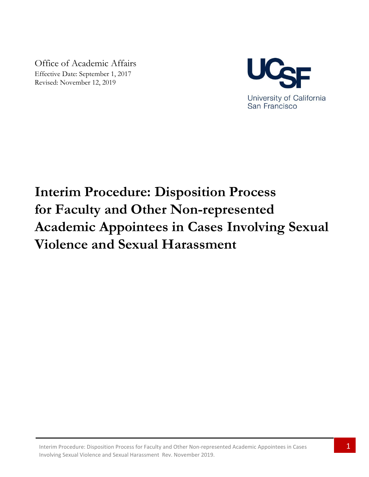Office of Academic Affairs Effective Date: September 1, 2017 Revised: November 12, 2019



# **Interim Procedure: Disposition Process for Faculty and Other Non-represented Academic Appointees in Cases Involving Sexual Violence and Sexual Harassment**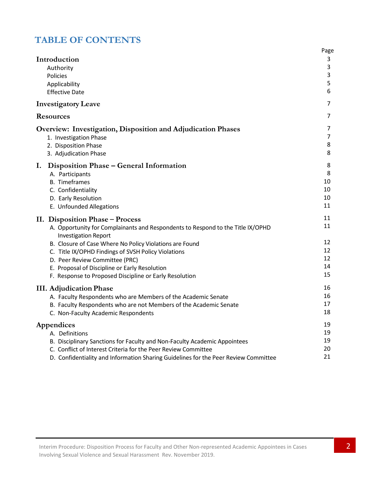# **TABLE OF CONTENTS**

|                                                                                                                | Page |
|----------------------------------------------------------------------------------------------------------------|------|
| Introduction                                                                                                   | 3    |
| Authority                                                                                                      | 3    |
| Policies                                                                                                       | 3    |
| Applicability                                                                                                  | 5    |
| <b>Effective Date</b>                                                                                          | 6    |
| <b>Investigatory Leave</b>                                                                                     | 7    |
| <b>Resources</b>                                                                                               | 7    |
| <b>Overview: Investigation, Disposition and Adjudication Phases</b>                                            | 7    |
| 1. Investigation Phase                                                                                         | 7    |
| 2. Disposition Phase                                                                                           | 8    |
| 3. Adjudication Phase                                                                                          | 8    |
| Ι.<br>Disposition Phase – General Information                                                                  | 8    |
| A. Participants                                                                                                | 8    |
| <b>B.</b> Timeframes                                                                                           | 10   |
| C. Confidentiality                                                                                             | 10   |
| D. Early Resolution                                                                                            | 10   |
| E. Unfounded Allegations                                                                                       | 11   |
| II. Disposition Phase – Process                                                                                | 11   |
| A. Opportunity for Complainants and Respondents to Respond to the Title IX/OPHD<br><b>Investigation Report</b> | 11   |
| B. Closure of Case Where No Policy Violations are Found                                                        | 12   |
| C. Title IX/OPHD Findings of SVSH Policy Violations                                                            | 12   |
| D. Peer Review Committee (PRC)                                                                                 | 12   |
| E. Proposal of Discipline or Early Resolution                                                                  | 14   |
| F. Response to Proposed Discipline or Early Resolution                                                         | 15   |
| <b>III.</b> Adjudication Phase                                                                                 | 16   |
| A. Faculty Respondents who are Members of the Academic Senate                                                  | 16   |
| B. Faculty Respondents who are not Members of the Academic Senate                                              | 17   |
| C. Non-Faculty Academic Respondents                                                                            | 18   |
| Appendices                                                                                                     | 19   |
| A. Definitions                                                                                                 | 19   |
| B. Disciplinary Sanctions for Faculty and Non-Faculty Academic Appointees                                      | 19   |
| C. Conflict of Interest Criteria for the Peer Review Committee                                                 | 20   |
| D. Confidentiality and Information Sharing Guidelines for the Peer Review Committee                            | 21   |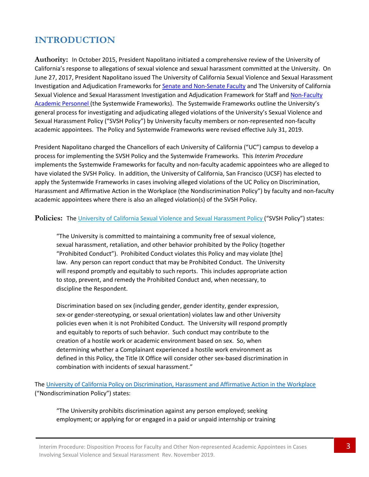# **INTRODUCTION**

**Authority:** In October 2015, President Napolitano initiated a comprehensive review of the University of California's response to allegations of sexual violence and sexual harassment committed at the University. On June 27, 2017, President Napolitano issued The University of California Sexual Violence and Sexual Harassment Investigation and Adjudication Frameworks for Senate [and Non-Senate](http://sexualviolence.universityofcalifornia.edu/files/documents/Faculty-SVSH-Investigation-and-Adjudication-Framework-and-Flowcharts.062917.pdf) Faculty and The University of California Sexual Violence and Sexual Harassment Investigation and Adjudication Framework for Staff and [Non-Faculty](http://sexualviolence.universityofcalifornia.edu/files/documents/Staff-NFAP-SVSH-Investigation-and-Adjudication-Framework-and-Flowcharts.062917.pdf) Academic [Personnel](http://sexualviolence.universityofcalifornia.edu/files/documents/Staff-NFAP-SVSH-Investigation-and-Adjudication-Framework-and-Flowcharts.062917.pdf) (the Systemwide Frameworks). The Systemwide Frameworks outline the University's general process for investigating and adjudicating alleged violations of the University's Sexual Violence and Sexual Harassment Policy ("SVSH Policy") by University faculty members or non-represented non-faculty academic appointees. The Policy and Systemwide Frameworks were revised effective July 31, 2019.

President Napolitano charged the Chancellors of each University of California ("UC") campus to develop a process for implementing the SVSH Policy and the Systemwide Frameworks. This *Interim Procedure* implements the Systemwide Frameworks for faculty and non-faculty academic appointees who are alleged to have violated the SVSH Policy. In addition, the University of California, San Francisco (UCSF) has elected to apply the Systemwide Frameworks in cases involving alleged violations of the UC Policy on Discrimination, Harassment and Affirmative Action in the Workplace (the Nondiscrimination Policy") by faculty and non-faculty academic appointees where there is also an alleged violation(s) of the SVSH Policy.

#### Policies: The University [of California Sexual Violence](http://policy.ucop.edu/doc/4000385/SVSH) and Sexual Harassment Policy ("SVSH Policy") states:

"The University is committed to maintaining a community free of sexual violence, sexual harassment, retaliation, and other behavior prohibited by the Policy (together "Prohibited Conduct"). Prohibited Conduct violates this Policy and may violate [the] law. Any person can report conduct that may be Prohibited Conduct. The University will respond promptly and equitably to such reports. This includes appropriate action to stop, prevent, and remedy the Prohibited Conduct and, when necessary, to discipline the Respondent.

Discrimination based on sex (including gender, gender identity, gender expression, sex-or gender-stereotyping, or sexual orientation) violates law and other University policies even when it is not Prohibited Conduct. The University will respond promptly and equitably to reports of such behavior. Such conduct may contribute to the creation of a hostile work or academic environment based on sex. So, when determining whether a Complainant experienced a hostile work environment as defined in this Policy, the Title IX Office will consider other sex-based discrimination in combination with incidents of sexual harassment."

The University of California [Policy on Discrimination, Harassment and](https://policy.ucop.edu/doc/4000376/DiscHarassAffirmAction) Affirmative Action in the Workplace ("Nondiscrimination Policy") states:

"The University prohibits discrimination against any person employed; seeking employment; or applying for or engaged in a paid or unpaid internship or training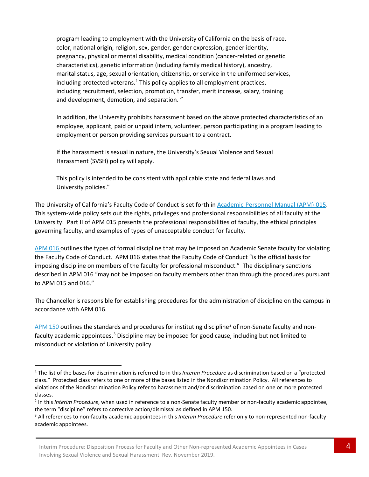program leading to employment with the University of California on the basis of race, color, national origin, religion, sex, gender, gender expression, gender identity, pregnancy, physical or mental disability, medical condition (cancer-related or genetic characteristics), genetic information (including family medical history), ancestry, marital status, age, sexual orientation, citizenship, or service in the uniformed services, including protected veterans.<sup>[1](#page-3-0)</sup> This policy applies to all employment practices, including recruitment, selection, promotion, transfer, merit increase, salary, training and development, demotion, and separation. "

In addition, the University prohibits harassment based on the above protected characteristics of an employee, applicant, paid or unpaid intern, volunteer, person participating in a program leading to employment or person providing services pursuant to a contract.

If the harassment is sexual in nature, the University's Sexual Violence and Sexual Harassment (SVSH) policy will apply.

This policy is intended to be consistent with applicable state and federal laws and University policies."

The University of California's Faculty Code of Conduct is set forth i[n Academic](http://www.ucop.edu/academic-personnel-programs/_files/apm/apm-015.pdf) Personnel Manual [\(APM\)](http://www.ucop.edu/academic-personnel/_files/apm/apm-015.pdf) 015. This system-wide policy sets out the rights, privileges and professional responsibilities of all faculty at the University. Part II of APM 015 presents the professional responsibilities of faculty, the ethical principles governing faculty, and examples of types of unacceptable conduct for faculty.

[APM](http://www.ucop.edu/academic-personnel-programs/_files/apm/apm-016.pdf) 016 outlines the types of formal discipline that may be imposed on Academic Senate faculty for violating the Faculty Code of Conduct. APM 016 states that the Faculty Code of Conduct "is the official basis for imposing discipline on members of the faculty for professional misconduct." The disciplinary sanctions described in APM 016 "may not be imposed on faculty members other than through the procedures pursuant to APM 015 and 016."

The Chancellor is responsible for establishing procedures for the administration of discipline on the campus in accordance with APM 016.

[APM](http://www.ucop.edu/academic-personnel-programs/_files/apm/apm-150.pdf) 150 outlines the standards and procedures for instituting discipline<sup>[2](#page-3-1)</sup> of non-Senate faculty and non-faculty academic appointees.<sup>[3](#page-3-2)</sup> Discipline may be imposed for good cause, including but not limited to misconduct or violation of University policy.

<span id="page-3-0"></span> <sup>1</sup> The list of the bases for discrimination is referred to in this *Interim Procedure* as discrimination based on a "protected class." Protected class refers to one or more of the bases listed in the Nondiscrimination Policy. All references to violations of the Nondiscrimination Policy refer to harassment and/or discrimination based on one or more protected classes.

<span id="page-3-1"></span><sup>2</sup> In this *Interim Procedure*, when used in reference to a non-Senate faculty member or non-faculty academic appointee, the term "discipline" refers to corrective action/dismissal as defined in APM 150.<br><sup>3</sup> All references to non-faculty academic appointees in this *Interim Procedure* refer only to non-represented non-faculty

<span id="page-3-2"></span>academic appointees.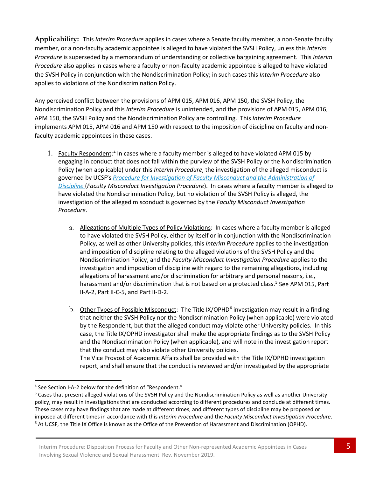**Applicability:** This *Interim Procedure* applies in cases where a Senate faculty member, a non-Senate faculty member, or a non-faculty academic appointee is alleged to have violated the SVSH Policy, unless this *Interim Procedure* is superseded by a memorandum of understanding or collective bargaining agreement. This *Interim Procedure* also applies in cases where a faculty or non-faculty academic appointee is alleged to have violated the SVSH Policy in conjunction with the Nondiscrimination Policy; in such cases this *Interim Procedure* also applies to violations of the Nondiscrimination Policy.

Any perceived conflict between the provisions of APM 015, APM 016, APM 150, the SVSH Policy, the Nondiscrimination Policy and this *Interim Procedure* is unintended, and the provisions of APM 015, APM 016, APM 150, the SVSH Policy and the Nondiscrimination Policy are controlling. This *Interim Procedure* implements APM 015, APM 016 and APM 150 with respect to the imposition of discipline on faculty and nonfaculty academic appointees in these cases.

- 1. Faculty Respondent:<sup>[4](#page-4-0)</sup> In cases where a faculty member is alleged to have violated APM 015 by engaging in conduct that does not fall within the purview of the SVSH Policy or the Nondiscrimination Policy (when applicable) under this *Interim Procedure*, the investigation of the alleged misconduct is governed by UCSF's *Procedure for Investigation of Faculty Misconduct and the [Administration of](https://facultyacademicaffairs.ucsf.edu/academic-personnel/misconduct-grievances-and-performance-management/Procedure-for-the-Investigation-of-Faculty-Misconduct-and-the-Administration-of-Discipline-Rev-09-01-2017.pdf) [Discipline](https://facultyacademicaffairs.ucsf.edu/academic-personnel/misconduct-grievances-and-performance-management/Procedure-for-the-Investigation-of-Faculty-Misconduct-and-the-Administration-of-Discipline-Rev-09-01-2017.pdf)* (*Faculty Misconduct Investigation Procedure*). In cases where a faculty member is alleged to have violated the Nondiscrimination Policy, but no violation of the SVSH Policy is alleged, the investigation of the alleged misconduct is governed by the *Faculty Misconduct Investigation Procedure*.
	- a. Allegations of Multiple Types of Policy Violations: In cases where a faculty member is alleged to have violated the SVSH Policy, either by itself or in conjunction with the Nondiscrimination Policy, as well as other University policies, this *Interim Procedure* applies to the investigation and imposition of discipline relating to the alleged violations of the SVSH Policy and the Nondiscrimination Policy, and the *Faculty Misconduct Investigation Procedure* applies to the investigation and imposition of discipline with regard to the remaining allegations, including allegations of harassment and/or discrimination for arbitrary and personal reasons, i.e., harassment and/or discrimination that is not based on a protected class.<sup>[5](#page-4-1)</sup> See APM 015, Part II-A-2, Part II-C-5, and Part II-D-2.
	- b. Other Types of Possible Misconduct: The Title IX/OPHD<sup>[6](#page-4-2)</sup> investigation may result in a finding that neither the SVSH Policy nor the Nondiscrimination Policy (when applicable) were violated by the Respondent, but that the alleged conduct may violate other University policies. In this case, the Title IX/OPHD investigator shall make the appropriate findings as to the SVSH Policy and the Nondiscrimination Policy (when applicable), and will note in the investigation report that the conduct may also violate other University policies. The Vice Provost of Academic Affairs shall be provided with the Title IX/OPHD investigation report, and shall ensure that the conduct is reviewed and/or investigated by the appropriate

<span id="page-4-0"></span> <sup>4</sup> See Section I-A-2 below for the definition of "Respondent."

<span id="page-4-2"></span><span id="page-4-1"></span><sup>&</sup>lt;sup>5</sup> Cases that present alleged violations of the SVSH Policy and the Nondiscrimination Policy as well as another University policy, may result in investigations that are conducted according to different procedures and conclude at different times. These cases may have findings that are made at different times, and different types of discipline may be proposed or imposed at different times in accordance with this Interim Procedure and the Faculty Misconduct Investigation Procedure.<br><sup>6</sup> At UCSF, the Title IX Office is known as the Office of the Prevention of Harassment and Discrimin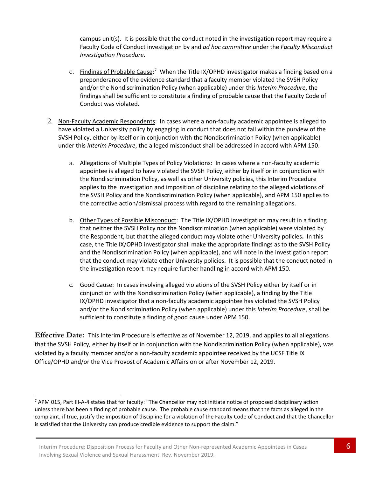campus unit(s). It is possible that the conduct noted in the investigation report may require a Faculty Code of Conduct investigation by and *ad hoc committee* under the *Faculty Misconduct Investigation Procedure*.

- c. Findings of Probable Cause:<sup>[7](#page-5-0)</sup> When the Title IX/OPHD investigator makes a finding based on a preponderance of the evidence standard that a faculty member violated the SVSH Policy and/or the Nondiscrimination Policy (when applicable) under this *Interim Procedure*, the findings shall be sufficient to constitute a finding of probable cause that the Faculty Code of Conduct was violated.
- 2. Non-Faculty Academic Respondents: In cases where a non-faculty academic appointee is alleged to have violated a University policy by engaging in conduct that does not fall within the purview of the SVSH Policy, either by itself or in conjunction with the Nondiscrimination Policy (when applicable) under this *Interim Procedure*, the alleged misconduct shall be addressed in accord with APM 150.
	- a. Allegations of Multiple Types of Policy Violations: In cases where a non-faculty academic appointee is alleged to have violated the SVSH Policy, either by itself or in conjunction with the Nondiscrimination Policy, as well as other University policies, this Interim Procedure applies to the investigation and imposition of discipline relating to the alleged violations of the SVSH Policy and the Nondiscrimination Policy (when applicable), and APM 150 applies to the corrective action/dismissal process with regard to the remaining allegations.
	- b. Other Types of Possible Misconduct: The Title IX/OPHD investigation may result in a finding that neither the SVSH Policy nor the Nondiscrimination (when applicable) were violated by the Respondent, but that the alleged conduct may violate other University policies**.** In this case, the Title IX/OPHD investigator shall make the appropriate findings as to the SVSH Policy and the Nondiscrimination Policy (when applicable), and will note in the investigation report that the conduct may violate other University policies. It is possible that the conduct noted in the investigation report may require further handling in accord with APM 150.
	- c. Good Cause: In cases involving alleged violations of the SVSH Policy either by itself or in conjunction with the Nondiscrimination Policy (when applicable), a finding by the Title IX/OPHD investigator that a non-faculty academic appointee has violated the SVSH Policy and/or the Nondiscrimination Policy (when applicable) under this *Interim Procedure*, shall be sufficient to constitute a finding of good cause under APM 150.

**Effective Date:** This Interim Procedure is effective as of November 12, 2019, and applies to all allegations that the SVSH Policy, either by itself or in conjunction with the Nondiscrimination Policy (when applicable), was violated by a faculty member and/or a non-faculty academic appointee received by the UCSF Title IX Office/OPHD and/or the Vice Provost of Academic Affairs on or after November 12, 2019.

<span id="page-5-0"></span><sup>&</sup>lt;sup>7</sup> APM 015, Part III-A-4 states that for faculty: "The Chancellor may not initiate notice of proposed disciplinary action unless there has been a finding of probable cause. The probable cause standard means that the facts as alleged in the complaint, if true, justify the imposition of discipline for a violation of the Faculty Code of Conduct and that the Chancellor is satisfied that the University can produce credible evidence to support the claim."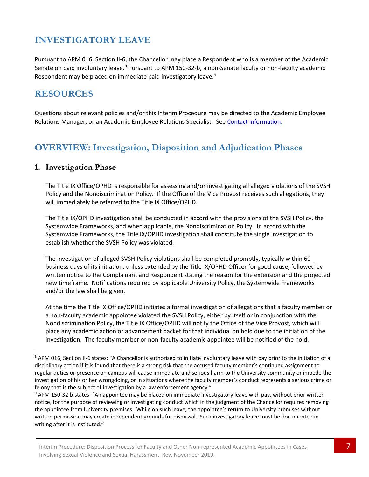# **INVESTIGATORY LEAVE**

Pursuant to APM 016, Section II-6, the Chancellor may place a Respondent who is a member of the Academic Senate on paid involuntary leave.<sup>[8](#page-6-0)</sup> Pursuant to APM 150-32-b, a non-Senate faculty or non-faculty academic Respondent may be placed on immediate paid investigatory leave.<sup>[9](#page-6-1)</sup>

## **RESOURCES**

Questions about relevant policies and/or this Interim Procedure may be directed to the Academic Employee Relations Manager, or an Academic Employee Relations Specialist. See [Contact](https://facultyacademicaffairs.ucsf.edu/academic-personnel/misconduct-grievances-and-performance-management/AER-Contact-Information.pdf) [Information.](https://facultyacademicaffairs.ucsf.edu/academic-personnel/misconduct-grievances-and-performance-management/AER-Contact-Information.pdf)

# **OVERVIEW: Investigation, Disposition and Adjudication Phases**

#### **1. Investigation Phase**

The Title IX Office/OPHD is responsible for assessing and/or investigating all alleged violations of the SVSH Policy and the Nondiscrimination Policy. If the Office of the Vice Provost receives such allegations, they will immediately be referred to the Title IX Office/OPHD.

The Title IX/OPHD investigation shall be conducted in accord with the provisions of the SVSH Policy, the Systemwide Frameworks, and when applicable, the Nondiscrimination Policy. In accord with the Systemwide Frameworks, the Title IX/OPHD investigation shall constitute the single investigation to establish whether the SVSH Policy was violated.

The investigation of alleged SVSH Policy violations shall be completed promptly, typically within 60 business days of its initiation, unless extended by the Title IX/OPHD Officer for good cause, followed by written notice to the Complainant and Respondent stating the reason for the extension and the projected new timeframe. Notifications required by applicable University Policy, the Systemwide Frameworks and/or the law shall be given.

At the time the Title IX Office/OPHD initiates a formal investigation of allegations that a faculty member or a non-faculty academic appointee violated the SVSH Policy, either by itself or in conjunction with the Nondiscrimination Policy, the Title IX Office/OPHD will notify the Office of the Vice Provost, which will place any academic action or advancement packet for that individual on hold due to the initiation of the investigation. The faculty member or non-faculty academic appointee will be notified of the hold.

<span id="page-6-0"></span><sup>8</sup> APM 016, Section II-6 states: "A Chancellor is authorized to initiate involuntary leave with pay prior to the initiation of a disciplinary action if it is found that there is a strong risk that the accused faculty member's continued assignment to regular duties or presence on campus will cause immediate and serious harm to the University community or impede the investigation of his or her wrongdoing, or in situations where the faculty member's conduct represents a serious crime or felony that is the subject of investigation by a law enforcement agency."

<span id="page-6-1"></span><sup>9</sup> APM 150-32-b states: "An appointee may be placed on immediate investigatory leave with pay, without prior written notice, for the purpose of reviewing or investigating conduct which in the judgment of the Chancellor requires removing the appointee from University premises. While on such leave, the appointee's return to University premises without written permission may create independent grounds for dismissal. Such investigatory leave must be documented in writing after it is instituted."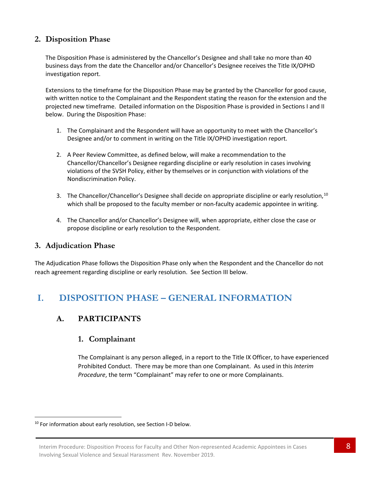#### **2. Disposition Phase**

The Disposition Phase is administered by the Chancellor's Designee and shall take no more than 40 business days from the date the Chancellor and/or Chancellor's Designee receives the Title IX/OPHD investigation report.

Extensions to the timeframe for the Disposition Phase may be granted by the Chancellor for good cause, with written notice to the Complainant and the Respondent stating the reason for the extension and the projected new timeframe. Detailed information on the Disposition Phase is provided in Sections I and II below. During the Disposition Phase:

- 1. The Complainant and the Respondent will have an opportunity to meet with the Chancellor's Designee and/or to comment in writing on the Title IX/OPHD investigation report.
- 2. A Peer Review Committee, as defined below, will make a recommendation to the Chancellor/Chancellor's Designee regarding discipline or early resolution in cases involving violations of the SVSH Policy, either by themselves or in conjunction with violations of the Nondiscrimination Policy.
- 3. The Chancellor/Chancellor's Designee shall decide on appropriate discipline or early resolution,<sup>[10](#page-7-0)</sup> which shall be proposed to the faculty member or non-faculty academic appointee in writing.
- 4. The Chancellor and/or Chancellor's Designee will, when appropriate, either close the case or propose discipline or early resolution to the Respondent.

#### **3. Adjudication Phase**

The Adjudication Phase follows the Disposition Phase only when the Respondent and the Chancellor do not reach agreement regarding discipline or early resolution. See Section III below.

## **I. DISPOSITION PHASE – GENERAL INFORMATION**

### **A. PARTICIPANTS**

#### **1. Complainant**

The Complainant is any person alleged, in a report to the Title IX Officer, to have experienced Prohibited Conduct. There may be more than one Complainant. As used in this *Interim Procedure*, the term "Complainant" may refer to one or more Complainants.

<span id="page-7-0"></span> $10$  For information about early resolution, see Section I-D below.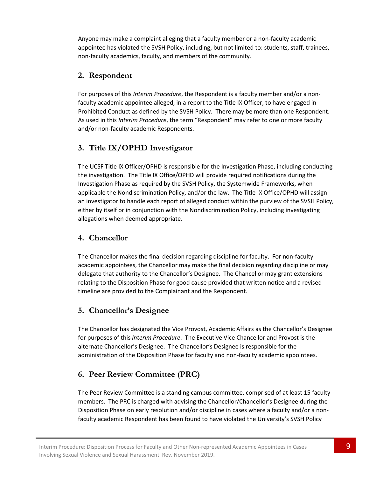Anyone may make a complaint alleging that a faculty member or a non-faculty academic appointee has violated the SVSH Policy, including, but not limited to: students, staff, trainees, non-faculty academics, faculty, and members of the community.

## **2. Respondent**

For purposes of this *Interim Procedure*, the Respondent is a faculty member and/or a nonfaculty academic appointee alleged, in a report to the Title IX Officer, to have engaged in Prohibited Conduct as defined by the SVSH Policy. There may be more than one Respondent. As used in this *Interim Procedure*, the term "Respondent" may refer to one or more faculty and/or non-faculty academic Respondents.

## **3. Title IX/OPHD Investigator**

The UCSF Title IX Officer/OPHD is responsible for the Investigation Phase, including conducting the investigation. The Title IX Office/OPHD will provide required notifications during the Investigation Phase as required by the SVSH Policy, the Systemwide Frameworks, when applicable the Nondiscrimination Policy, and/or the law. The Title IX Office/OPHD will assign an investigator to handle each report of alleged conduct within the purview of the SVSH Policy, either by itself or in conjunction with the Nondiscrimination Policy, including investigating allegations when deemed appropriate.

## **4. Chancellor**

The Chancellor makes the final decision regarding discipline for faculty. For non-faculty academic appointees, the Chancellor may make the final decision regarding discipline or may delegate that authority to the Chancellor's Designee. The Chancellor may grant extensions relating to the Disposition Phase for good cause provided that written notice and a revised timeline are provided to the Complainant and the Respondent.

### **5. Chancellor's Designee**

The Chancellor has designated the Vice Provost, Academic Affairs as the Chancellor's Designee for purposes of this *Interim Procedure*. The Executive Vice Chancellor and Provost is the alternate Chancellor's Designee. The Chancellor's Designee is responsible for the administration of the Disposition Phase for faculty and non-faculty academic appointees.

## **6. Peer Review Committee (PRC)**

The Peer Review Committee is a standing campus committee, comprised of at least 15 faculty members. The PRC is charged with advising the Chancellor/Chancellor's Designee during the Disposition Phase on early resolution and/or discipline in cases where a faculty and/or a nonfaculty academic Respondent has been found to have violated the University's SVSH Policy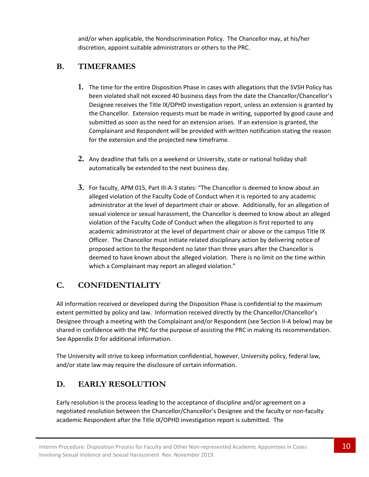and/or when applicable, the Nondiscrimination Policy. The Chancellor may, at his/her discretion, appoint suitable administrators or others to the PRC.

## **B. TIMEFRAMES**

- **1.** The time for the entire Disposition Phase in cases with allegations that the SVSH Policy has been violated shall not exceed 40 business days from the date the Chancellor/Chancellor's Designee receives the Title IX/OPHD investigation report, unless an extension is granted by the Chancellor. Extension requests must be made in writing, supported by good cause and submitted as soon as the need for an extension arises. If an extension is granted, the Complainant and Respondent will be provided with written notification stating the reason for the extension and the projected new timeframe.
- **2.** Any deadline that falls on a weekend or University, state or national holiday shall automatically be extended to the next business day.
- **3.** For faculty, APM 015, Part III-A-3 states: "The Chancellor is deemed to know about an alleged violation of the Faculty Code of Conduct when it is reported to any academic administrator at the level of department chair or above. Additionally, for an allegation of sexual violence or sexual harassment, the Chancellor is deemed to know about an alleged violation of the Faculty Code of Conduct when the allegation is first reported to any academic administrator at the level of department chair or above or the campus Title IX Officer. The Chancellor must initiate related disciplinary action by delivering notice of proposed action to the Respondent no later than three years after the Chancellor is deemed to have known about the alleged violation. There is no limit on the time within which a Complainant may report an alleged violation."

## **C. CONFIDENTIALITY**

All information received or developed during the Disposition Phase is confidential to the maximum extent permitted by policy and law. Information received directly by the Chancellor/Chancellor's Designee through a meeting with the Complainant and/or Respondent (see Section II-A below) may be shared in confidence with the PRC for the purpose of assisting the PRC in making its recommendation. See Appendix D for additional information.

The University will strive to keep information confidential, however, University policy, federal law, and/or state law may require the disclosure of certain information.

## **D. EARLY RESOLUTION**

Early resolution is the process leading to the acceptance of discipline and/or agreement on a negotiated resolution between the Chancellor/Chancellor's Designee and the faculty or non-faculty academic Respondent after the Title IX/OPHD investigation report is submitted. The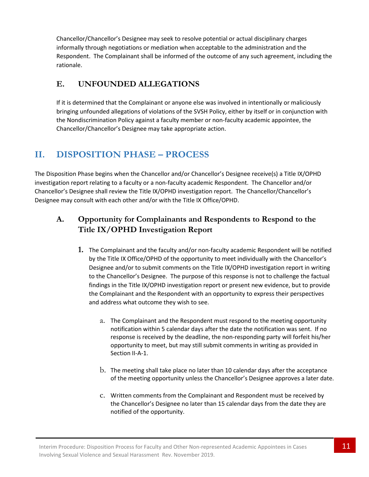Chancellor/Chancellor's Designee may seek to resolve potential or actual disciplinary charges informally through negotiations or mediation when acceptable to the administration and the Respondent. The Complainant shall be informed of the outcome of any such agreement, including the rationale.

## **E. UNFOUNDED ALLEGATIONS**

If it is determined that the Complainant or anyone else was involved in intentionally or maliciously bringing unfounded allegations of violations of the SVSH Policy, either by itself or in conjunction with the Nondiscrimination Policy against a faculty member or non-faculty academic appointee, the Chancellor/Chancellor's Designee may take appropriate action.

# **II. DISPOSITION PHASE – PROCESS**

The Disposition Phase begins when the Chancellor and/or Chancellor's Designee receive(s) a Title IX/OPHD investigation report relating to a faculty or a non-faculty academic Respondent. The Chancellor and/or Chancellor's Designee shall review the Title IX/OPHD investigation report. The Chancellor/Chancellor's Designee may consult with each other and/or with the Title IX Office/OPHD.

## **A. Opportunity for Complainants and Respondents to Respond to the Title IX/OPHD Investigation Report**

- **1.** The Complainant and the faculty and/or non-faculty academic Respondent will be notified by the Title IX Office/OPHD of the opportunity to meet individually with the Chancellor's Designee and/or to submit comments on the Title IX/OPHD investigation report in writing to the Chancellor's Designee. The purpose of this response is not to challenge the factual findings in the Title IX/OPHD investigation report or present new evidence, but to provide the Complainant and the Respondent with an opportunity to express their perspectives and address what outcome they wish to see.
	- a. The Complainant and the Respondent must respond to the meeting opportunity notification within 5 calendar days after the date the notification was sent. If no response is received by the deadline, the non-responding party will forfeit his/her opportunity to meet, but may still submit comments in writing as provided in Section II-A-1.
	- b. The meeting shall take place no later than 10 calendar days after the acceptance of the meeting opportunity unless the Chancellor's Designee approves a later date.
	- c. Written comments from the Complainant and Respondent must be received by the Chancellor's Designee no later than 15 calendar days from the date they are notified of the opportunity.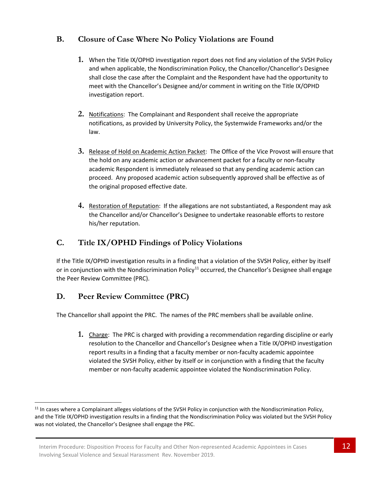## **B. Closure of Case Where No Policy Violations are Found**

- **1.** When the Title IX/OPHD investigation report does not find any violation of the SVSH Policy and when applicable, the Nondiscrimination Policy, the Chancellor/Chancellor's Designee shall close the case after the Complaint and the Respondent have had the opportunity to meet with the Chancellor's Designee and/or comment in writing on the Title IX/OPHD investigation report.
- **2.** Notifications: The Complainant and Respondent shall receive the appropriate notifications, as provided by University Policy, the Systemwide Frameworks and/or the law.
- **3.** Release of Hold on Academic Action Packet: The Office of the Vice Provost will ensure that the hold on any academic action or advancement packet for a faculty or non-faculty academic Respondent is immediately released so that any pending academic action can proceed. Any proposed academic action subsequently approved shall be effective as of the original proposed effective date.
- **4.** Restoration of Reputation: If the allegations are not substantiated, a Respondent may ask the Chancellor and/or Chancellor's Designee to undertake reasonable efforts to restore his/her reputation.

## **C. Title IX/OPHD Findings of Policy Violations**

If the Title IX/OPHD investigation results in a finding that a violation of the SVSH Policy, either by itself or in conjunction with the Nondiscrimination Policy<sup>[11](#page-11-0)</sup> occurred, the Chancellor's Designee shall engage the Peer Review Committee (PRC).

### **D. Peer Review Committee (PRC)**

The Chancellor shall appoint the PRC. The names of the PRC members shall be available online.

**1.** Charge: The PRC is charged with providing a recommendation regarding discipline or early resolution to the Chancellor and Chancellor's Designee when a Title IX/OPHD investigation report results in a finding that a faculty member or non-faculty academic appointee violated the SVSH Policy, either by itself or in conjunction with a finding that the faculty member or non-faculty academic appointee violated the Nondiscrimination Policy.

<span id="page-11-0"></span> $11$  In cases where a Complainant alleges violations of the SVSH Policy in conjunction with the Nondiscrimination Policy, and the Title IX/OPHD investigation results in a finding that the Nondiscrimination Policy was violated but the SVSH Policy was not violated, the Chancellor's Designee shall engage the PRC.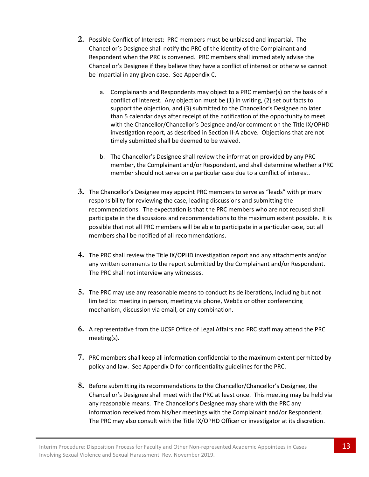- **2.** Possible Conflict of Interest: PRC members must be unbiased and impartial. The Chancellor's Designee shall notify the PRC of the identity of the Complainant and Respondent when the PRC is convened. PRC members shall immediately advise the Chancellor's Designee if they believe they have a conflict of interest or otherwise cannot be impartial in any given case. See Appendix C.
	- a. Complainants and Respondents may object to a PRC member(s) on the basis of a conflict of interest. Any objection must be (1) in writing, (2) set out facts to support the objection, and (3) submitted to the Chancellor's Designee no later than 5 calendar days after receipt of the notification of the opportunity to meet with the Chancellor/Chancellor's Designee and/or comment on the Title IX/OPHD investigation report, as described in Section II-A above. Objections that are not timely submitted shall be deemed to be waived.
	- b. The Chancellor's Designee shall review the information provided by any PRC member, the Complainant and/or Respondent, and shall determine whether a PRC member should not serve on a particular case due to a conflict of interest.
- **3.** The Chancellor's Designee may appoint PRC members to serve as "leads" with primary responsibility for reviewing the case, leading discussions and submitting the recommendations. The expectation is that the PRC members who are not recused shall participate in the discussions and recommendations to the maximum extent possible. It is possible that not all PRC members will be able to participate in a particular case, but all members shall be notified of all recommendations.
- **4.** The PRC shall review the Title IX/OPHD investigation report and any attachments and/or any written comments to the report submitted by the Complainant and/or Respondent. The PRC shall not interview any witnesses.
- **5.** The PRC may use any reasonable means to conduct its deliberations, including but not limited to: meeting in person, meeting via phone, WebEx or other conferencing mechanism, discussion via email, or any combination.
- **6.** A representative from the UCSF Office of Legal Affairs and PRC staff may attend the PRC meeting(s).
- **7.** PRC members shall keep all information confidential to the maximum extent permitted by policy and law. See Appendix D for confidentiality guidelines for the PRC.
- **8.** Before submitting its recommendations to the Chancellor/Chancellor's Designee, the Chancellor's Designee shall meet with the PRC at least once. This meeting may be held via any reasonable means. The Chancellor's Designee may share with the PRC any information received from his/her meetings with the Complainant and/or Respondent. The PRC may also consult with the Title IX/OPHD Officer or investigator at its discretion.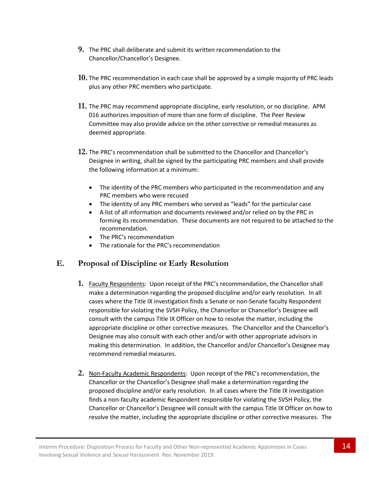- **9.** The PRC shall deliberate and submit its written recommendation to the Chancellor/Chancellor's Designee.
- **10.** The PRC recommendation in each case shall be approved by a simple majority of PRC leads plus any other PRC members who participate.
- **11.** The PRC may recommend appropriate discipline, early resolution, or no discipline. APM 016 authorizes imposition of more than one form of discipline. The Peer Review Committee may also provide advice on the other corrective or remedial measures as deemed appropriate.
- **12.** The PRC's recommendation shall be submitted to the Chancellor and Chancellor's Designee in writing, shall be signed by the participating PRC members and shall provide the following information at a minimum:
	- The identity of the PRC members who participated in the recommendation and any PRC members who were recused
	- The identity of any PRC members who served as "leads" for the particular case
	- A list of all information and documents reviewed and/or relied on by the PRC in forming its recommendation. These documents are not required to be attached to the recommendation.
	- The PRC's recommendation
	- The rationale for the PRC's recommendation

### **E. Proposal of Discipline or Early Resolution**

- **1.** Faculty Respondents: Upon receipt of the PRC's recommendation, the Chancellor shall make a determination regarding the proposed discipline and/or early resolution. In all cases where the Title IX investigation finds a Senate or non-Senate faculty Respondent responsible for violating the SVSH Policy, the Chancellor or Chancellor's Designee will consult with the campus Title IX Officer on how to resolve the matter, including the appropriate discipline or other corrective measures. The Chancellor and the Chancellor's Designee may also consult with each other and/or with other appropriate advisors in making this determination. In addition, the Chancellor and/or Chancellor's Designee may recommend remedial measures.
- **2.** Non-Faculty Academic Respondents: Upon receipt of the PRC's recommendation, the Chancellor or the Chancellor's Designee shall make a determination regarding the proposed discipline and/or early resolution. In all cases where the Title IX investigation finds a non-faculty academic Respondent responsible for violating the SVSH Policy, the Chancellor or Chancellor's Designee will consult with the campus Title IX Officer on how to resolve the matter, including the appropriate discipline or other corrective measures. The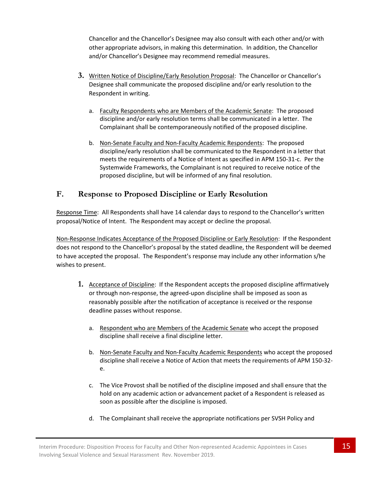Chancellor and the Chancellor's Designee may also consult with each other and/or with other appropriate advisors, in making this determination. In addition, the Chancellor and/or Chancellor's Designee may recommend remedial measures.

- **3.** Written Notice of Discipline/Early Resolution Proposal: The Chancellor or Chancellor's Designee shall communicate the proposed discipline and/or early resolution to the Respondent in writing.
	- a. Faculty Respondents who are Members of the Academic Senate: The proposed discipline and/or early resolution terms shall be communicated in a letter. The Complainant shall be contemporaneously notified of the proposed discipline.
	- b. Non-Senate Faculty and Non-Faculty Academic Respondents: The proposed discipline/early resolution shall be communicated to the Respondent in a letter that meets the requirements of a Notice of Intent as specified in APM 150-31-c. Per the Systemwide Frameworks, the Complainant is not required to receive notice of the proposed discipline, but will be informed of any final resolution.

### **F. Response to Proposed Discipline or Early Resolution**

Response Time: All Respondents shall have 14 calendar days to respond to the Chancellor's written proposal/Notice of Intent. The Respondent may accept or decline the proposal.

Non-Response Indicates Acceptance of the Proposed Discipline or Early Resolution: If the Respondent does not respond to the Chancellor's proposal by the stated deadline, the Respondent will be deemed to have accepted the proposal. The Respondent's response may include any other information s/he wishes to present.

- **1.** Acceptance of Discipline: If the Respondent accepts the proposed discipline affirmatively or through non-response, the agreed-upon discipline shall be imposed as soon as reasonably possible after the notification of acceptance is received or the response deadline passes without response.
	- a. Respondent who are Members of the Academic Senate who accept the proposed discipline shall receive a final discipline letter.
	- b. Non-Senate Faculty and Non-Faculty Academic Respondents who accept the proposed discipline shall receive a Notice of Action that meets the requirements of APM 150-32 e.
	- c. The Vice Provost shall be notified of the discipline imposed and shall ensure that the hold on any academic action or advancement packet of a Respondent is released as soon as possible after the discipline is imposed.
	- d. The Complainant shall receive the appropriate notifications per SVSH Policy and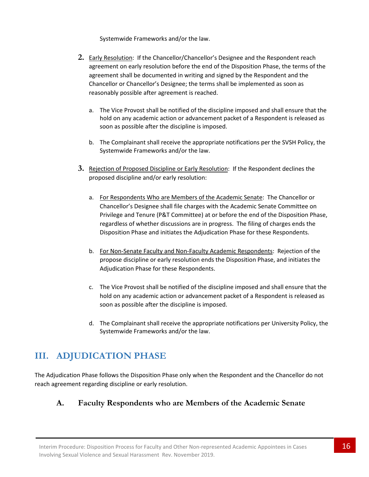Systemwide Frameworks and/or the law.

- **2.** Early Resolution: If the Chancellor/Chancellor's Designee and the Respondent reach agreement on early resolution before the end of the Disposition Phase, the terms of the agreement shall be documented in writing and signed by the Respondent and the Chancellor or Chancellor's Designee; the terms shall be implemented as soon as reasonably possible after agreement is reached.
	- a. The Vice Provost shall be notified of the discipline imposed and shall ensure that the hold on any academic action or advancement packet of a Respondent is released as soon as possible after the discipline is imposed.
	- b. The Complainant shall receive the appropriate notifications per the SVSH Policy, the Systemwide Frameworks and/or the law.
- **3.** Rejection of Proposed Discipline or Early Resolution: If the Respondent declines the proposed discipline and/or early resolution:
	- a. For Respondents Who are Members of the Academic Senate: The Chancellor or Chancellor's Designee shall file charges with the Academic Senate Committee on Privilege and Tenure (P&T Committee) at or before the end of the Disposition Phase, regardless of whether discussions are in progress. The filing of charges ends the Disposition Phase and initiates the Adjudication Phase for these Respondents.
	- b. For Non-Senate Faculty and Non-Faculty Academic Respondents: Rejection of the propose discipline or early resolution ends the Disposition Phase, and initiates the Adjudication Phase for these Respondents.
	- c. The Vice Provost shall be notified of the discipline imposed and shall ensure that the hold on any academic action or advancement packet of a Respondent is released as soon as possible after the discipline is imposed.
	- d. The Complainant shall receive the appropriate notifications per University Policy, the Systemwide Frameworks and/or the law.

# **III. ADJUDICATION PHASE**

The Adjudication Phase follows the Disposition Phase only when the Respondent and the Chancellor do not reach agreement regarding discipline or early resolution.

## **A. Faculty Respondents who are Members of the Academic Senate**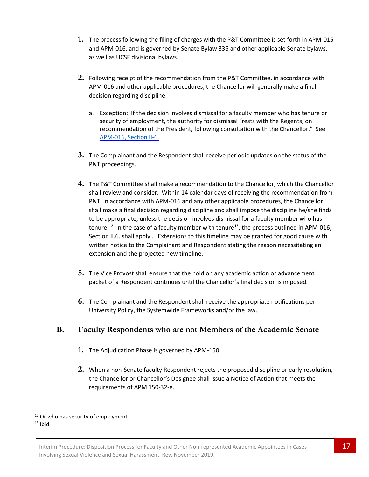- **1.** The process following the filing of charges with the P&T Committee is set forth in APM-015 and APM-016, and is governed by Senate Bylaw 336 and other applicable Senate bylaws, as well as UCSF divisional bylaws.
- **2.** Following receipt of the recommendation from the P&T Committee, in accordance with APM-016 and other applicable procedures, the Chancellor will generally make a final decision regarding discipline.
	- a. Exception: If the decision involves dismissal for a faculty member who has tenure or security of employment, the authority for dismissal "rests with the Regents, on recommendation of the President, following consultation with the Chancellor." See APM-016, [Section II-6.](https://www.ucop.edu/academic-personnel-programs/_files/apm/apm-016.pdf)
- **3.** The Complainant and the Respondent shall receive periodic updates on the status of the P&T proceedings.
- **4.** The P&T Committee shall make a recommendation to the Chancellor, which the Chancellor shall review and consider. Within 14 calendar days of receiving the recommendation from P&T, in accordance with APM-016 and any other applicable procedures, the Chancellor shall make a final decision regarding discipline and shall impose the discipline he/she finds to be appropriate, unless the decision involves dismissal for a faculty member who has tenure.<sup>12</sup> In the case of a faculty member with tenure<sup>[13](#page-16-1)</sup>, the process outlined in APM-016, Section II.6. shall apply… Extensions to this timeline may be granted for good cause with written notice to the Complainant and Respondent stating the reason necessitating an extension and the projected new timeline.
- **5.** The Vice Provost shall ensure that the hold on any academic action or advancement packet of a Respondent continues until the Chancellor's final decision is imposed.
- **6.** The Complainant and the Respondent shall receive the appropriate notifications per University Policy, the Systemwide Frameworks and/or the law.

### **B. Faculty Respondents who are not Members of the Academic Senate**

- **1.** The Adjudication Phase is governed by APM-150.
- **2.** When a non-Senate faculty Respondent rejects the proposed discipline or early resolution, the Chancellor or Chancellor's Designee shall issue a Notice of Action that meets the requirements of APM 150-32-e.

<span id="page-16-1"></span><span id="page-16-0"></span><sup>&</sup>lt;sup>12</sup> Or who has security of employment.<br> $13$  Ibid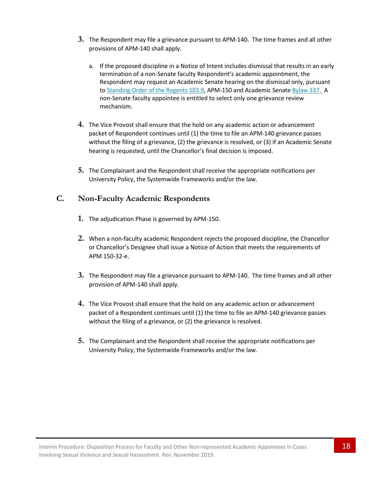- **3.** The Respondent may file a grievance pursuant to APM-140. The time frames and all other provisions of APM-140 shall apply.
	- a. If the proposed discipline in a Notice of Intent includes dismissal that results in an early termination of a non-Senate faculty Respondent's academic appointment, the Respondent may request an Academic Senate hearing on the dismissal only, pursuant t[o Standing Order](http://regents.universityofcalifornia.edu/governance/standing-orders/so1039.html) of the Regents 103.9, APM-150 and Academic Senate [Bylaw](http://senate.universityofcalifornia.edu/bylaws-regulations/bylaws/blpart3.html#bl337) 337. A non-Senate faculty appointee is entitled to select only one grievance review mechanism.
- **4.** The Vice Provost shall ensure that the hold on any academic action or advancement packet of Respondent continues until (1) the time to file an APM-140 grievance passes without the filing of a grievance, (2) the grievance is resolved, or (3) if an Academic Senate hearing is requested, until the Chancellor's final decision is imposed.
- **5.** The Complainant and the Respondent shall receive the appropriate notifications per University Policy, the Systemwide Frameworks and/or the law.

#### **C. Non-Faculty Academic Respondents**

- **1.** The adjudication Phase is governed by APM-150.
- **2.** When a non-faculty academic Respondent rejects the proposed discipline, the Chancellor or Chancellor's Designee shall issue a Notice of Action that meets the requirements of APM 150-32-e.
- **3.** The Respondent may file a grievance pursuant to APM-140. The time frames and all other provision of APM-140 shall apply.
- **4.** The Vice Provost shall ensure that the hold on any academic action or advancement packet of a Respondent continues until (1) the time to file an APM-140 grievance passes without the filing of a grievance, or (2) the grievance is resolved.
- **5.** The Complainant and the Respondent shall receive the appropriate notifications per University Policy, the Systemwide Frameworks and/or the law.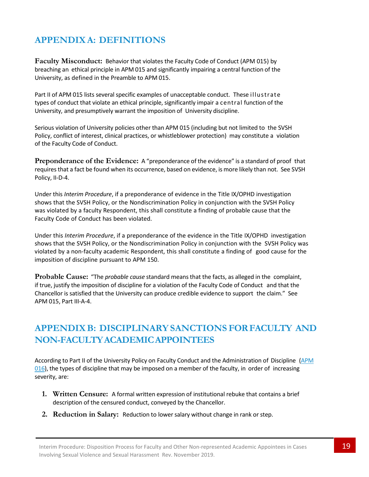# **APPENDIXA: DEFINITIONS**

**Faculty Misconduct:** Behavior that violates the Faculty Code of Conduct (APM 015) by breaching an ethical principle in APM 015 and significantly impairing a central function of the University, as defined in the Preamble to APM 015.

Part II of APM 015 lists several specific examples of unacceptable conduct. These illustrate types of conduct that violate an ethical principle, significantly impair a central function of the University, and presumptively warrant the imposition of University discipline.

Serious violation of University policies other than APM 015 (including but not limited to the SVSH Policy, conflict of interest, clinical practices, or whistleblower protection) may constitute a violation of the Faculty Code of Conduct.

**Preponderance of the Evidence:** A "preponderance of the evidence" is a standard of proof that requires that a fact be found when its occurrence, based on evidence, is more likely than not. See SVSH Policy, II-D-4.

Under this *Interim Procedure*, if a preponderance of evidence in the Title IX/OPHD investigation shows that the SVSH Policy, or the Nondiscrimination Policy in conjunction with the SVSH Policy was violated by a faculty Respondent, this shall constitute a finding of probable cause that the Faculty Code of Conduct has been violated.

Under this *Interim Procedure*, if a preponderance of the evidence in the Title IX/OPHD investigation shows that the SVSH Policy, or the Nondiscrimination Policy in conjunction with the SVSH Policy was violated by a non-faculty academic Respondent, this shall constitute a finding of good cause for the imposition of discipline pursuant to APM 150.

**Probable Cause:** "The *probable cause* standard meansthat the facts, as alleged in the complaint, if true, justify the imposition of discipline for a violation of the Faculty Code of Conduct and that the Chancellor is satisfied that the University can produce credible evidence to support the claim." See APM 015, Part III-A-4.

# **APPENDIXB: DISCIPLINARYSANCTIONS FORFACULTY AND NON-FACULTYACADEMICAPPOINTEES**

According to Part II of the University Policy on Faculty Conduct and the Administration of Discipline [\(APM](http://www.ucop.edu/academic-personnel-programs/_files/apm/apm-016.pdf)  $016$ ), the types of discipline that may be imposed on a member of the faculty, in order of increasing severity, are:

- **1. Written Censure:** A formal written expression of institutional rebuke that contains a brief description of the censured conduct, conveyed by the Chancellor.
- **2. Reduction in Salary:** Reduction to lowersalary without change in rank or step.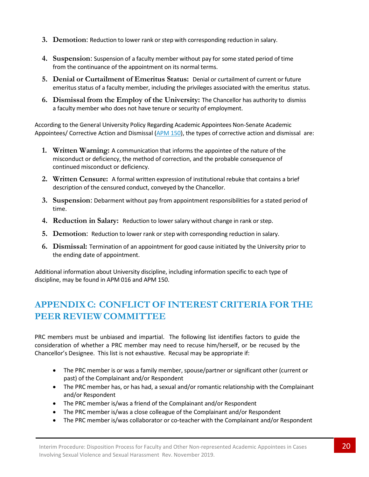- **3. Demotion**: Reduction to lower rank or step with corresponding reduction in salary.
- **4. Suspension**: Suspension of a faculty member without pay for some stated period of time from the continuance of the appointment on its normal terms.
- **5. Denial or Curtailment of Emeritus Status:** Denial or curtailment of current or future emeritus status of a faculty member, including the privileges associated with the emeritus status.
- **6. Dismissal from the Employ of the University:** The Chancellor has authority to dismiss a faculty member who does not have tenure or security of employment.

According to the General University Policy Regarding Academic Appointees Non-Senate Academic Appointees/ Corrective Action and Dismissal [\(APM](http://www.ucop.edu/academic-personnel-programs/_files/apm/apm-150.pdf) 150), the types of corrective action and dismissal are:

- **1. Written Warning:** A communication that informs the appointee of the nature of the misconduct or deficiency, the method of correction, and the probable consequence of continued misconduct or deficiency.
- **2. Written Censure:** A formal written expression of institutional rebuke that contains a brief description of the censured conduct, conveyed by the Chancellor.
- **3. Suspension**: Debarment without pay from appointment responsibilities for a stated period of time.
- **4. Reduction in Salary:** Reduction to lowersalary without change in rank or step.
- **5. Demotion**: Reduction to lower rank or step with corresponding reduction in salary.
- **6. Dismissal:** Termination of an appointment for good cause initiated by the University prior to the ending date of appointment.

Additional information about University discipline, including information specific to each type of discipline, may be found in APM 016 and APM 150.

# **APPENDIXC: CONFLICT OF INTEREST CRITERIA FOR THE PEERREVIEW COMMITTEE**

PRC members must be unbiased and impartial. The following list identifies factors to guide the consideration of whether a PRC member may need to recuse him/herself, or be recused by the Chancellor's Designee. This list is not exhaustive. Recusal may be appropriate if:

- The PRC member is or was a family member, spouse/partner or significant other (current or past) of the Complainant and/or Respondent
- The PRC member has, or has had, a sexual and/or romantic relationship with the Complainant and/or Respondent
- The PRC member is/was a friend of the Complainant and/or Respondent
- The PRC member is/was a close colleague of the Complainant and/or Respondent
- The PRC member is/was collaborator or co-teacher with the Complainant and/or Respondent